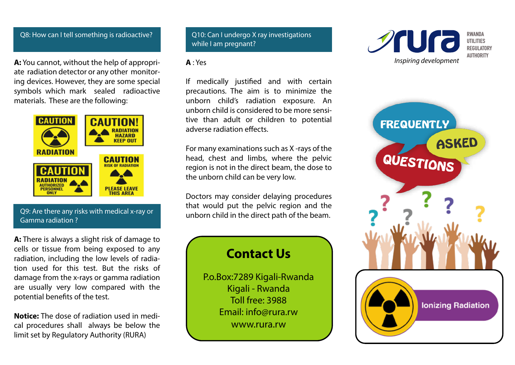### Q8: How can I tell something is radioactive?

**A:** You cannot, without the help of appropriate radiation detector or any other monitoring devices. However, they are some special symbols which mark sealed radioactive materials. These are the following:



## Q9: Are there any risks with medical x-ray or Gamma radiation ?

**A:** There is always a slight risk of damage to cells or tissue from being exposed to any radiation, including the low levels of radiation used for this test. But the risks of damage from the x-rays or gamma radiation are usually very low compared with the potential benefits of the test.

**Notice:** The dose of radiation used in medical procedures shall always be below the limit set by Regulatory Authority (RURA)

Q10: Can I undergo X ray investigations while I am pregnant?

## **A** : Yes

If medically justified and with certain precautions. The aim is to minimize the unborn child's radiation exposure. An unborn child is considered to be more sensitive than adult or children to potential adverse radiation effects.

For many examinations such as X -rays of the head, chest and limbs, where the pelvic region is not in the direct beam, the dose to the unborn child can be very low.

Doctors may consider delaying procedures that would put the pelvic region and the unborn child in the direct path of the beam.

# **Contact Us**

P.o.Box:7289 Kigali-Rwanda Kigali - Rwanda Toll free: 3988 Email: info@rura.rw www.rura.rw